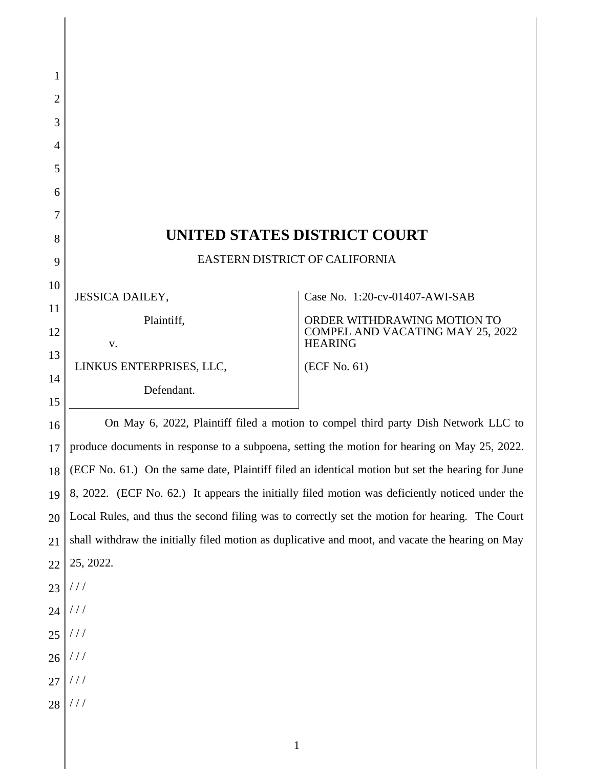| 1               |                                                                                                  |                                                    |  |
|-----------------|--------------------------------------------------------------------------------------------------|----------------------------------------------------|--|
| $\overline{2}$  |                                                                                                  |                                                    |  |
| 3               |                                                                                                  |                                                    |  |
| 4               |                                                                                                  |                                                    |  |
| 5               |                                                                                                  |                                                    |  |
| 6               |                                                                                                  |                                                    |  |
| 7               |                                                                                                  |                                                    |  |
| 8               | UNITED STATES DISTRICT COURT                                                                     |                                                    |  |
| 9               | EASTERN DISTRICT OF CALIFORNIA                                                                   |                                                    |  |
| 10              | <b>JESSICA DAILEY,</b>                                                                           | Case No. 1:20-cv-01407-AWI-SAB                     |  |
| 11              | Plaintiff,                                                                                       | ORDER WITHDRAWING MOTION TO                        |  |
| 12              | V.                                                                                               | COMPEL AND VACATING MAY 25, 2022<br><b>HEARING</b> |  |
| 13              | LINKUS ENTERPRISES, LLC,                                                                         | (ECF No. 61)                                       |  |
| 14              | Defendant.                                                                                       |                                                    |  |
| 15              |                                                                                                  |                                                    |  |
| 16              | On May 6, 2022, Plaintiff filed a motion to compel third party Dish Network LLC to               |                                                    |  |
| 17 <sup>1</sup> | produce documents in response to a subpoena, setting the motion for hearing on May 25, 2022.     |                                                    |  |
| 18              | (ECF No. 61.) On the same date, Plaintiff filed an identical motion but set the hearing for June |                                                    |  |
| 19              | 8, 2022. (ECF No. 62.) It appears the initially filed motion was deficiently noticed under the   |                                                    |  |
| 20              | Local Rules, and thus the second filing was to correctly set the motion for hearing. The Court   |                                                    |  |
| 21              | shall withdraw the initially filed motion as duplicative and moot, and vacate the hearing on May |                                                    |  |
| 22              | 25, 2022.                                                                                        |                                                    |  |
| 23              | //                                                                                               |                                                    |  |
| 24              | 111                                                                                              |                                                    |  |
|                 | $25$ ///                                                                                         |                                                    |  |
|                 | $26$ ///                                                                                         |                                                    |  |
|                 | $27$ ///                                                                                         |                                                    |  |
| 28              | $\left/ \left/ \right/ \right.$                                                                  |                                                    |  |
|                 | $\mathbf{1}$                                                                                     |                                                    |  |
|                 |                                                                                                  |                                                    |  |